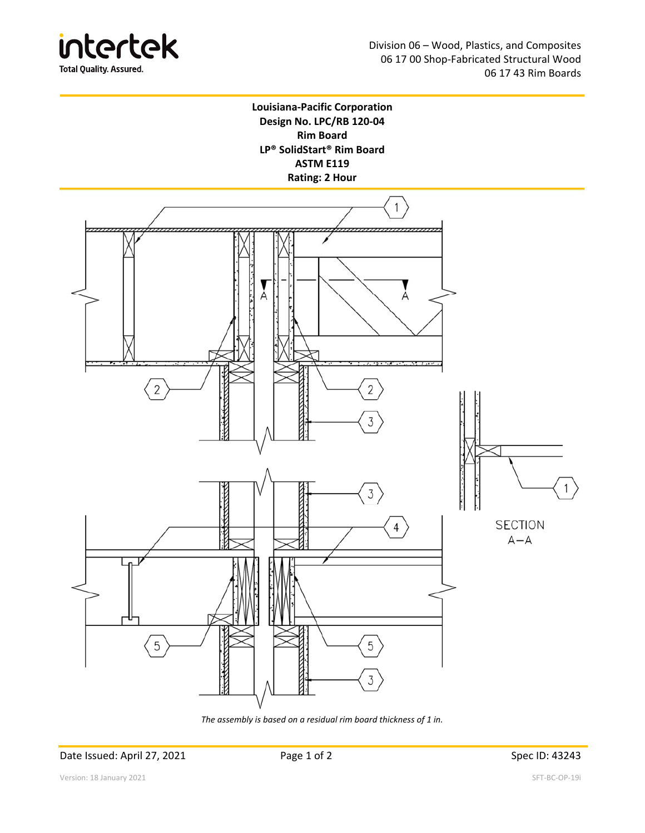



4

5

3



*The assembly is based on a residual rim board thickness of 1 in.* 

Date Issued: April 27, 2021 **Page 1 of 2** Page 1 of 2 Spec ID: 43243

5